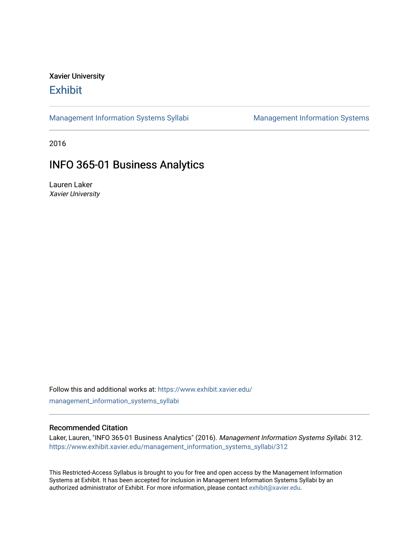# Xavier University **Exhibit**

[Management Information Systems Syllabi](https://www.exhibit.xavier.edu/management_information_systems_syllabi) Management Information Systems

2016

# INFO 365-01 Business Analytics

Lauren Laker Xavier University

Follow this and additional works at: [https://www.exhibit.xavier.edu/](https://www.exhibit.xavier.edu/management_information_systems_syllabi?utm_source=www.exhibit.xavier.edu%2Fmanagement_information_systems_syllabi%2F312&utm_medium=PDF&utm_campaign=PDFCoverPages) [management\\_information\\_systems\\_syllabi](https://www.exhibit.xavier.edu/management_information_systems_syllabi?utm_source=www.exhibit.xavier.edu%2Fmanagement_information_systems_syllabi%2F312&utm_medium=PDF&utm_campaign=PDFCoverPages) 

#### Recommended Citation

Laker, Lauren, "INFO 365-01 Business Analytics" (2016). Management Information Systems Syllabi. 312. [https://www.exhibit.xavier.edu/management\\_information\\_systems\\_syllabi/312](https://www.exhibit.xavier.edu/management_information_systems_syllabi/312?utm_source=www.exhibit.xavier.edu%2Fmanagement_information_systems_syllabi%2F312&utm_medium=PDF&utm_campaign=PDFCoverPages) 

This Restricted-Access Syllabus is brought to you for free and open access by the Management Information Systems at Exhibit. It has been accepted for inclusion in Management Information Systems Syllabi by an authorized administrator of Exhibit. For more information, please contact [exhibit@xavier.edu](mailto:exhibit@xavier.edu).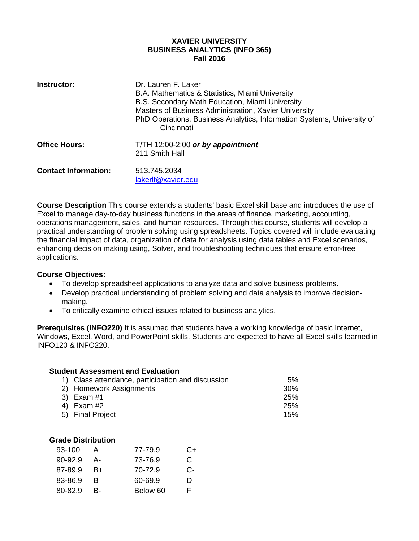#### **XAVIER UNIVERSITY BUSINESS ANALYTICS (INFO 365) Fall 2016**

| Instructor:                 | Dr. Lauren F. Laker<br>B.A. Mathematics & Statistics, Miami University<br>B.S. Secondary Math Education, Miami University<br>Masters of Business Administration, Xavier University<br>PhD Operations, Business Analytics, Information Systems, University of<br>Cincinnati |
|-----------------------------|----------------------------------------------------------------------------------------------------------------------------------------------------------------------------------------------------------------------------------------------------------------------------|
| <b>Office Hours:</b>        | T/TH $12:00-2:00$ or by appointment<br>211 Smith Hall                                                                                                                                                                                                                      |
| <b>Contact Information:</b> | 513.745.2034<br>lakerlf@xavier.edu                                                                                                                                                                                                                                         |

**Course Description** This course extends a students' basic Excel skill base and introduces the use of Excel to manage day-to-day business functions in the areas of finance, marketing, accounting, operations management, sales, and human resources. Through this course, students will develop a practical understanding of problem solving using spreadsheets. Topics covered will include evaluating the financial impact of data, organization of data for analysis using data tables and Excel scenarios, enhancing decision making using, Solver, and troubleshooting techniques that ensure error-free applications.

# **Course Objectives:**

- To develop spreadsheet applications to analyze data and solve business problems.
- Develop practical understanding of problem solving and data analysis to improve decisionmaking.
- To critically examine ethical issues related to business analytics.

**Prerequisites (INFO220)** It is assumed that students have a working knowledge of basic Internet, Windows, Excel, Word, and PowerPoint skills. Students are expected to have all Excel skills learned in INFO120 & INFO220.

| <b>Student Assessment and Evaluation</b> |                                                   |     |  |  |
|------------------------------------------|---------------------------------------------------|-----|--|--|
|                                          | 1) Class attendance, participation and discussion | 5%  |  |  |
|                                          | 2) Homework Assignments                           | 30% |  |  |
|                                          | 3) Exam #1                                        | 25% |  |  |
|                                          | 4) Exam #2                                        | 25% |  |  |
|                                          | 5) Final Project                                  | 15% |  |  |

| 93-100  |      | 77-79.9  | C+ |
|---------|------|----------|----|
| 90-92.9 | А-   | 73-76.9  | C. |
| 87-89.9 | $B+$ | 70-72.9  | C- |
| 83-86.9 | B    | 60-69.9  | D  |
| 80-82.9 | R-   | Below 60 | F. |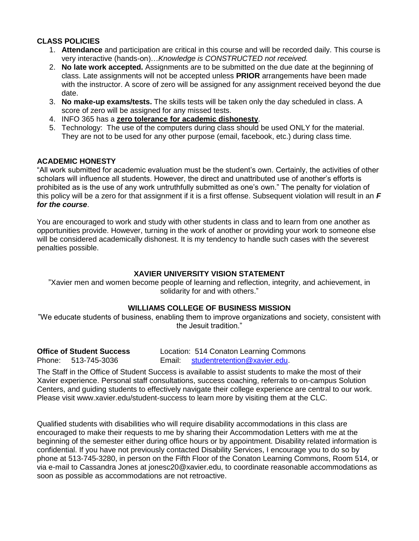# **CLASS POLICIES**

- 1. **Attendance** and participation are critical in this course and will be recorded daily. This course is very interactive (hands-on)…*Knowledge is CONSTRUCTED not received.*
- 2. **No late work accepted.** Assignments are to be submitted on the due date at the beginning of class. Late assignments will not be accepted unless **PRIOR** arrangements have been made with the instructor. A score of zero will be assigned for any assignment received beyond the due date.
- 3. **No make-up exams/tests.** The skills tests will be taken only the day scheduled in class. A score of zero will be assigned for any missed tests.
- 4. INFO 365 has a **zero tolerance for academic dishonesty**.
- 5. Technology: The use of the computers during class should be used ONLY for the material. They are not to be used for any other purpose (email, facebook, etc.) during class time.

# **ACADEMIC HONESTY**

"All work submitted for academic evaluation must be the student's own. Certainly, the activities of other scholars will influence all students. However, the direct and unattributed use of another's efforts is prohibited as is the use of any work untruthfully submitted as one's own." The penalty for violation of this policy will be a zero for that assignment if it is a first offense. Subsequent violation will result in an *F for the course*.

You are encouraged to work and study with other students in class and to learn from one another as opportunities provide. However, turning in the work of another or providing your work to someone else will be considered academically dishonest. It is my tendency to handle such cases with the severest penalties possible.

# **XAVIER UNIVERSITY VISION STATEMENT**

"Xavier men and women become people of learning and reflection, integrity, and achievement, in solidarity for and with others."

# **WILLIAMS COLLEGE OF BUSINESS MISSION**

"We educate students of business, enabling them to improve organizations and society, consistent with the Jesuit tradition."

**Office of Student Success** Location: 514 Conaton Learning Commons Phone: 513-745-3036 Email: [studentretention@xavier.edu.](mailto:studentretention@xavier.edu)

The Staff in the Office of Student Success is available to assist students to make the most of their Xavier experience. Personal staff consultations, success coaching, referrals to on-campus Solution Centers, and guiding students to effectively navigate their college experience are central to our work. Please visit www.xavier.edu/student-success to learn more by visiting them at the CLC.

Qualified students with disabilities who will require disability accommodations in this class are encouraged to make their requests to me by sharing their Accommodation Letters with me at the beginning of the semester either during office hours or by appointment. Disability related information is confidential. If you have not previously contacted Disability Services, I encourage you to do so by phone at 513-745-3280, in person on the Fifth Floor of the Conaton Learning Commons, Room 514, or via e-mail to Cassandra Jones at jonesc20@xavier.edu, to coordinate reasonable accommodations as soon as possible as accommodations are not retroactive.